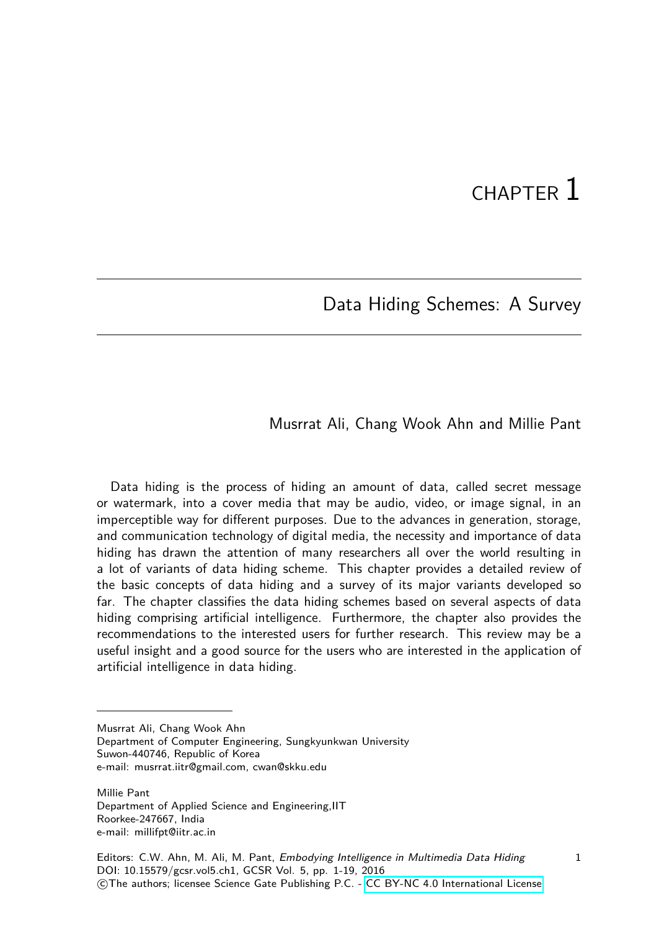# CHAPTER 1

### Data Hiding Schemes: A Survey

#### Musrrat Ali, Chang Wook Ahn and Millie Pant

Data hiding is the process of hiding an amount of data, called secret message or watermark, into a cover media that may be audio, video, or image signal, in an imperceptible way for different purposes. Due to the advances in generation, storage, and communication technology of digital media, the necessity and importance of data hiding has drawn the attention of many researchers all over the world resulting in a lot of variants of data hiding scheme. This chapter provides a detailed review of the basic concepts of data hiding and a survey of its major variants developed so far. The chapter classifies the data hiding schemes based on several aspects of data hiding comprising artificial intelligence. Furthermore, the chapter also provides the recommendations to the interested users for further research. This review may be a useful insight and a good source for the users who are interested in the application of artificial intelligence in data hiding.

Musrrat Ali, Chang Wook Ahn

Department of Computer Engineering, Sungkyunkwan University Suwon-440746, Republic of Korea e-mail: musrrat.iitr@gmail.com, cwan@skku.edu

Millie Pant Department of Applied Science and Engineering,IIT Roorkee-247667, India e-mail: millifpt@iitr.ac.in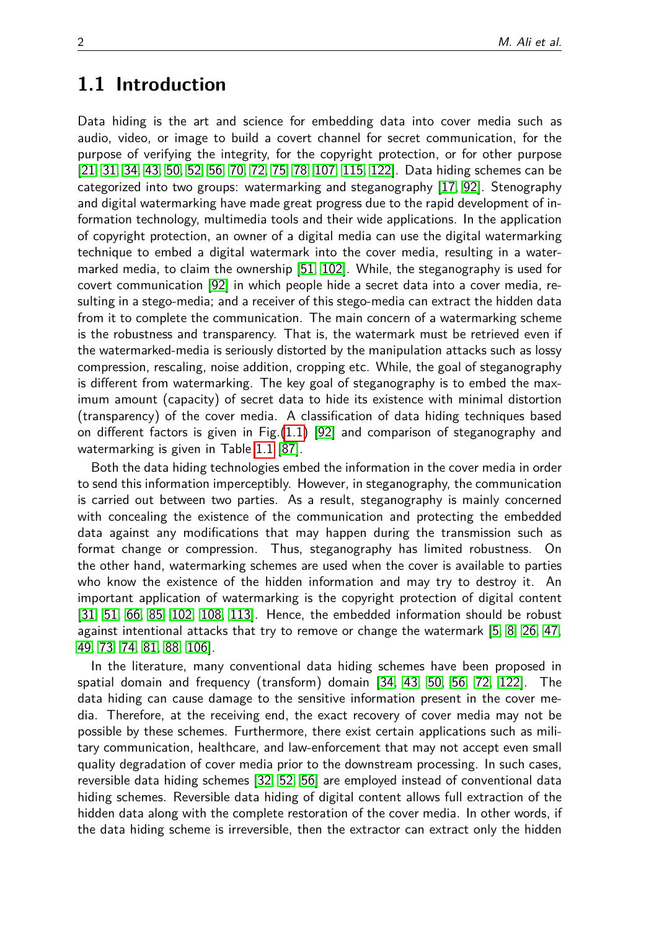### **1.1 Introduction**

Data hiding is the art and science for embedding data into cover media such as audio, video, or image to build a covert channel for secret communication, for the purpose of verifying the integrity, for the copyright protection, or for other purpose [\[21,](#page-12-0) [31,](#page-12-1) [34,](#page-12-2) [43,](#page-13-0) [50,](#page-13-1) [52,](#page-13-2) [56,](#page-14-0) [70,](#page-15-0) [72,](#page-15-1) [75,](#page-15-2) [78,](#page-15-3) [107,](#page-17-0) [115,](#page-17-1) [122\]](#page-18-0). Data hiding schemes can be categorized into two groups: watermarking and steganography [\[17,](#page-11-0) [92\]](#page-16-0). Stenography and digital watermarking have made great progress due to the rapid development of information technology, multimedia tools and their wide applications. In the application of copyright protection, an owner of a digital media can use the digital watermarking technique to embed a digital watermark into the cover media, resulting in a watermarked media, to claim the ownership [\[51,](#page-13-3) [102\]](#page-17-2). While, the steganography is used for covert communication [\[92\]](#page-16-0) in which people hide a secret data into a cover media, resulting in a stego-media; and a receiver of this stego-media can extract the hidden data from it to complete the communication. The main concern of a watermarking scheme is the robustness and transparency. That is, the watermark must be retrieved even if the watermarked-media is seriously distorted by the manipulation attacks such as lossy compression, rescaling, noise addition, cropping etc. While, the goal of steganography is different from watermarking. The key goal of steganography is to embed the maximum amount (capacity) of secret data to hide its existence with minimal distortion (transparency) of the cover media. A classification of data hiding techniques based on different factors is given in Fig.[\(1.1\)](#page-3-0) [\[92\]](#page-16-0) and comparison of steganography and watermarking is given in Table [1.1](#page-3-1) [\[87\]](#page-16-1).

Both the data hiding technologies embed the information in the cover media in order to send this information imperceptibly. However, in steganography, the communication is carried out between two parties. As a result, steganography is mainly concerned with concealing the existence of the communication and protecting the embedded data against any modifications that may happen during the transmission such as format change or compression. Thus, steganography has limited robustness. On the other hand, watermarking schemes are used when the cover is available to parties who know the existence of the hidden information and may try to destroy it. An important application of watermarking is the copyright protection of digital content [\[31,](#page-12-1) [51,](#page-13-3) [66,](#page-14-1) [85,](#page-15-4) [102,](#page-17-2) [108,](#page-17-3) [113\]](#page-17-4). Hence, the embedded information should be robust against intentional attacks that try to remove or change the watermark [\[5,](#page-11-1) [8,](#page-11-2) [26,](#page-12-3) [47,](#page-13-4) [49,](#page-13-5) [73,](#page-15-5) [74,](#page-15-6) [81,](#page-15-7) [88,](#page-16-2) [106\]](#page-17-5).

In the literature, many conventional data hiding schemes have been proposed in spatial domain and frequency (transform) domain [\[34,](#page-12-2) [43,](#page-13-0) [50,](#page-13-1) [56,](#page-14-0) [72,](#page-15-1) [122\]](#page-18-0). The data hiding can cause damage to the sensitive information present in the cover media. Therefore, at the receiving end, the exact recovery of cover media may not be possible by these schemes. Furthermore, there exist certain applications such as military communication, healthcare, and law-enforcement that may not accept even small quality degradation of cover media prior to the downstream processing. In such cases, reversible data hiding schemes [\[32,](#page-12-4) [52,](#page-13-2) [56\]](#page-14-0) are employed instead of conventional data hiding schemes. Reversible data hiding of digital content allows full extraction of the hidden data along with the complete restoration of the cover media. In other words, if the data hiding scheme is irreversible, then the extractor can extract only the hidden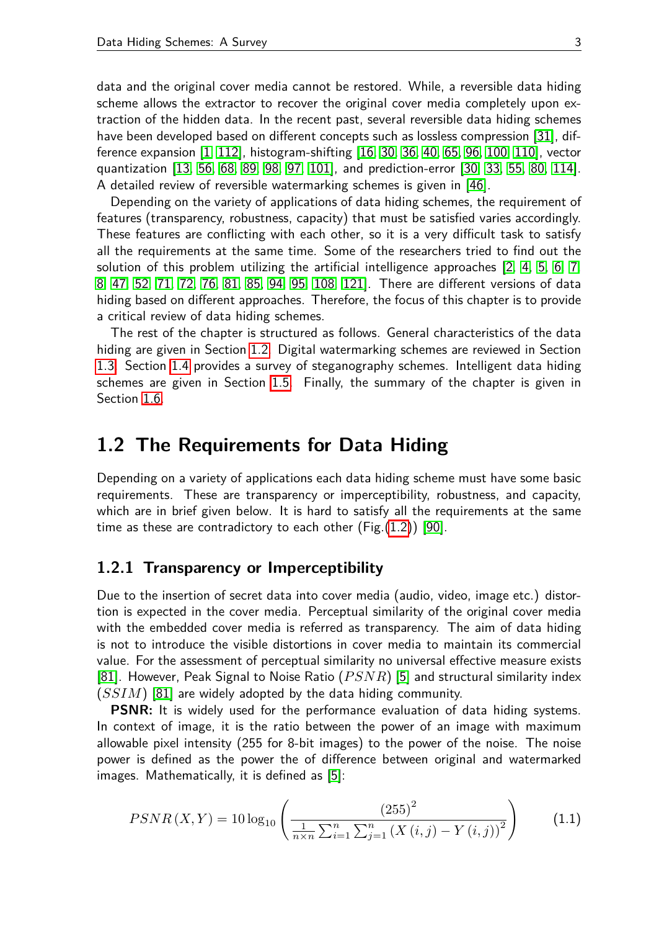data and the original cover media cannot be restored. While, a reversible data hiding scheme allows the extractor to recover the original cover media completely upon extraction of the hidden data. In the recent past, several reversible data hiding schemes have been developed based on different concepts such as lossless compression [\[31\]](#page-12-1), difference expansion [\[1,](#page-10-0) [112\]](#page-17-6), histogram-shifting [\[16,](#page-11-3) [30,](#page-12-5) [36,](#page-13-6) [40,](#page-13-7) [65,](#page-14-2) [96,](#page-16-3) [100,](#page-16-4) [110\]](#page-17-7), vector quantization [\[13,](#page-11-4) [56,](#page-14-0) [68,](#page-14-3) [89,](#page-16-5) [98,](#page-16-6) [97,](#page-16-7) [101\]](#page-16-8), and prediction-error [\[30,](#page-12-5) [33,](#page-12-6) [55,](#page-14-4) [80,](#page-15-8) [114\]](#page-17-8). A detailed review of reversible watermarking schemes is given in [\[46\]](#page-13-8).

Depending on the variety of applications of data hiding schemes, the requirement of features (transparency, robustness, capacity) that must be satisfied varies accordingly. These features are conflicting with each other, so it is a very difficult task to satisfy all the requirements at the same time. Some of the researchers tried to find out the solution of this problem utilizing the artificial intelligence approaches [\[2,](#page-10-1) [4,](#page-11-5) [5,](#page-11-1) [6,](#page-11-6) [7,](#page-11-7) [8,](#page-11-2) [47,](#page-13-4) [52,](#page-13-2) [71,](#page-15-9) [72,](#page-15-1) [76,](#page-15-10) [81,](#page-15-7) [85,](#page-15-4) [94,](#page-16-9) [95,](#page-16-10) [108,](#page-17-3) [121\]](#page-18-1). There are different versions of data hiding based on different approaches. Therefore, the focus of this chapter is to provide a critical review of data hiding schemes.

The rest of the chapter is structured as follows. General characteristics of the data hiding are given in Section [1.2.](#page-4-0) Digital watermarking schemes are reviewed in Section [1.3.](#page-5-0) Section [1.4](#page-6-0) provides a survey of steganography schemes. Intelligent data hiding schemes are given in Section [1.5.](#page-8-0) Finally, the summary of the chapter is given in Section [1.6.](#page-10-2)

### **1.2 The Requirements for Data Hiding**

Depending on a variety of applications each data hiding scheme must have some basic requirements. These are transparency or imperceptibility, robustness, and capacity, which are in brief given below. It is hard to satisfy all the requirements at the same time as these are contradictory to each other  $(Fig.(1.2))$  $(Fig.(1.2))$  $(Fig.(1.2))$  [\[90\]](#page-16-11).

#### **1.2.1 Transparency or Imperceptibility**

Due to the insertion of secret data into cover media (audio, video, image etc.) distortion is expected in the cover media. Perceptual similarity of the original cover media with the embedded cover media is referred as transparency. The aim of data hiding is not to introduce the visible distortions in cover media to maintain its commercial value. For the assessment of perceptual similarity no universal effective measure exists [\[81\]](#page-15-7). However, Peak Signal to Noise Ratio (*P SNR*) [\[5\]](#page-11-1) and structural similarity index (*SSIM*) [\[81\]](#page-15-7) are widely adopted by the data hiding community.

**PSNR:** It is widely used for the performance evaluation of data hiding systems. In context of image, it is the ratio between the power of an image with maximum allowable pixel intensity (255 for 8-bit images) to the power of the noise. The noise power is defined as the power the of difference between original and watermarked images. Mathematically, it is defined as [\[5\]](#page-11-1):

$$
PSNR(X,Y) = 10 \log_{10} \left( \frac{\left(255\right)^2}{\frac{1}{n \times n} \sum_{i=1}^n \sum_{j=1}^n \left(X\left(i,j\right) - Y\left(i,j\right)\right)^2} \right) \tag{1.1}
$$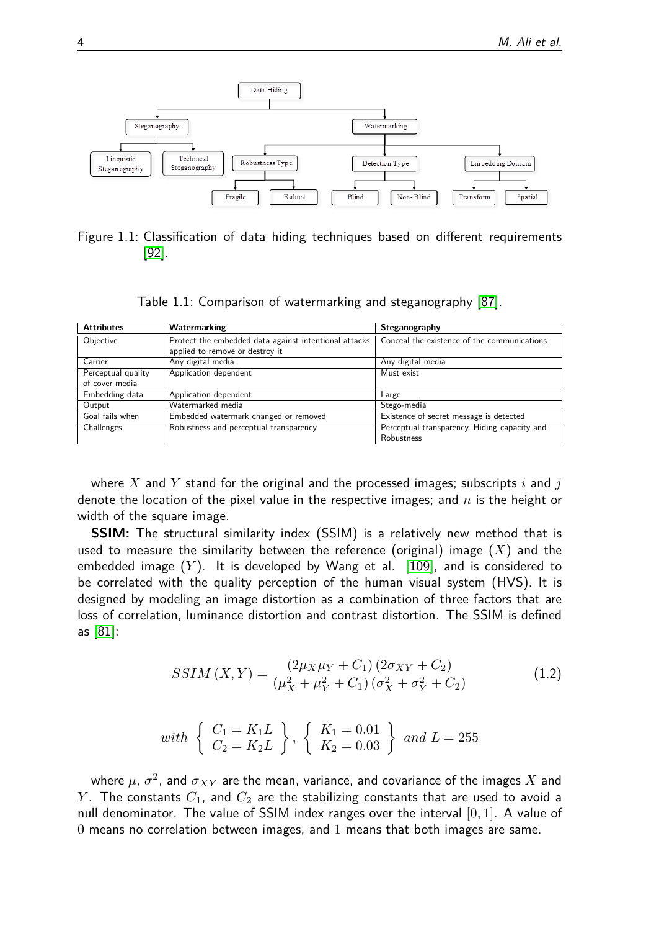

<span id="page-3-0"></span>Figure 1.1: Classification of data hiding techniques based on different requirements [\[92\]](#page-16-0).

<span id="page-3-1"></span>Table 1.1: Comparison of watermarking and steganography [\[87\]](#page-16-1).

| <b>Attributes</b>  | Watermarking                                          | Steganography                                |
|--------------------|-------------------------------------------------------|----------------------------------------------|
| Objective          | Protect the embedded data against intentional attacks | Conceal the existence of the communications  |
|                    | applied to remove or destroy it                       |                                              |
| Carrier            | Any digital media                                     | Any digital media                            |
| Perceptual quality | Application dependent                                 | Must exist                                   |
| of cover media     |                                                       |                                              |
| Embedding data     | Application dependent                                 | Large                                        |
| Output             | Watermarked media                                     | Stego-media                                  |
| Goal fails when    | Embedded watermark changed or removed                 | Existence of secret message is detected      |
| Challenges         | Robustness and perceptual transparency                | Perceptual transparency, Hiding capacity and |
|                    |                                                       | Robustness                                   |

where *X* and *Y* stand for the original and the processed images; subscripts *i* and *j* denote the location of the pixel value in the respective images; and *n* is the height or width of the square image.

**SSIM:** The structural similarity index (SSIM) is a relatively new method that is used to measure the similarity between the reference (original) image (*X*) and the embedded image (*Y* ). It is developed by Wang et al. [\[109\]](#page-17-9), and is considered to be correlated with the quality perception of the human visual system (HVS). It is designed by modeling an image distortion as a combination of three factors that are loss of correlation, luminance distortion and contrast distortion. The SSIM is defined as [\[81\]](#page-15-7):

$$
SSIM(X,Y) = \frac{(2\mu_X \mu_Y + C_1)(2\sigma_{XY} + C_2)}{(\mu_X^2 + \mu_Y^2 + C_1)(\sigma_X^2 + \sigma_Y^2 + C_2)}
$$
(1.2)

with 
$$
\begin{Bmatrix} C_1 = K_1 L \\ C_2 = K_2 L \end{Bmatrix}
$$
,  $\begin{Bmatrix} K_1 = 0.01 \\ K_2 = 0.03 \end{Bmatrix}$  and  $L = 255$ 

where  $\mu$ ,  $\sigma^2$ , and  $\sigma_{XY}$  are the mean, variance, and covariance of the images  $X$  and *Y*. The constants  $C_1$ , and  $C_2$  are the stabilizing constants that are used to avoid a null denominator. The value of SSIM index ranges over the interval [0*,* 1]. A value of 0 means no correlation between images, and 1 means that both images are same.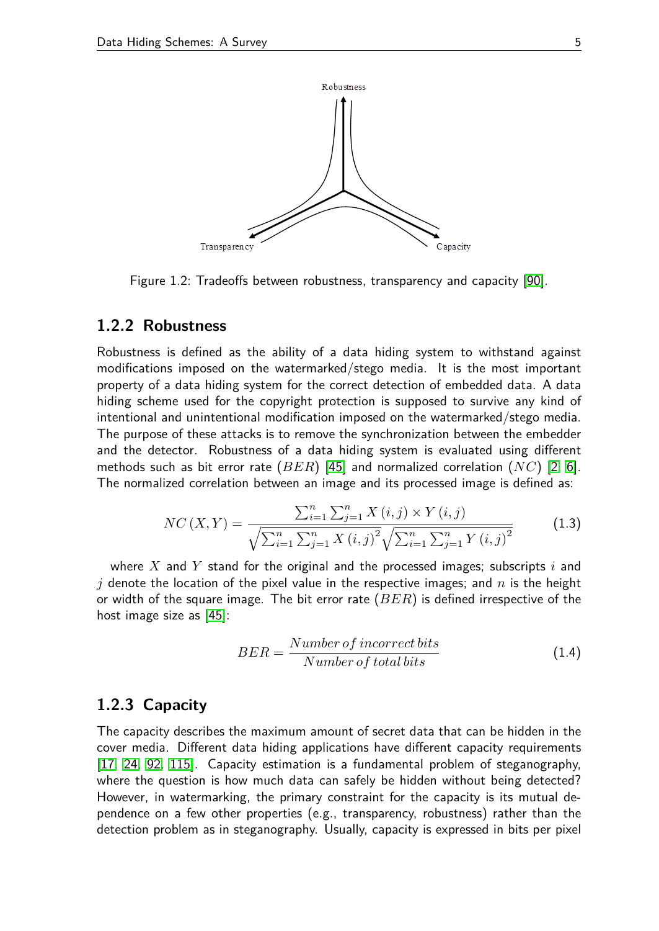

<span id="page-4-0"></span>Figure 1.2: Tradeoffs between robustness, transparency and capacity [\[90\]](#page-16-11).

#### **1.2.2 Robustness**

Robustness is defined as the ability of a data hiding system to withstand against modifications imposed on the watermarked/stego media. It is the most important property of a data hiding system for the correct detection of embedded data. A data hiding scheme used for the copyright protection is supposed to survive any kind of intentional and unintentional modification imposed on the watermarked/stego media. The purpose of these attacks is to remove the synchronization between the embedder and the detector. Robustness of a data hiding system is evaluated using different methods such as bit error rate (*BER*) [\[45\]](#page-13-9) and normalized correlation (*NC*) [\[2,](#page-10-1) [6\]](#page-11-6). The normalized correlation between an image and its processed image is defined as:

$$
NC(X,Y) = \frac{\sum_{i=1}^{n} \sum_{j=1}^{n} X(i,j) \times Y(i,j)}{\sqrt{\sum_{i=1}^{n} \sum_{j=1}^{n} X(i,j)^{2}} \sqrt{\sum_{i=1}^{n} \sum_{j=1}^{n} Y(i,j)^{2}}}
$$
(1.3)

where *X* and *Y* stand for the original and the processed images; subscripts *i* and *j* denote the location of the pixel value in the respective images; and *n* is the height or width of the square image. The bit error rate (*BER*) is defined irrespective of the host image size as [\[45\]](#page-13-9):

$$
BER = \frac{Number\ of\ incorrect\ bits}{Number\ of\ total\ bits} \tag{1.4}
$$

#### **1.2.3 Capacity**

The capacity describes the maximum amount of secret data that can be hidden in the cover media. Different data hiding applications have different capacity requirements [\[17,](#page-11-0) [24,](#page-12-7) [92,](#page-16-0) [115\]](#page-17-1). Capacity estimation is a fundamental problem of steganography, where the question is how much data can safely be hidden without being detected? However, in watermarking, the primary constraint for the capacity is its mutual dependence on a few other properties (e.g., transparency, robustness) rather than the detection problem as in steganography. Usually, capacity is expressed in bits per pixel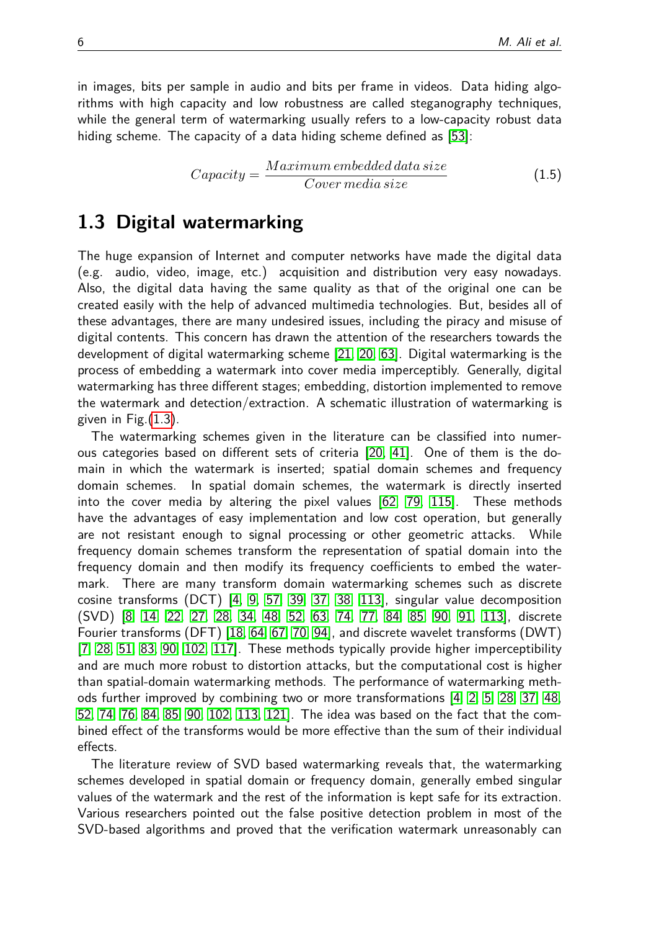in images, bits per sample in audio and bits per frame in videos. Data hiding algorithms with high capacity and low robustness are called steganography techniques, while the general term of watermarking usually refers to a low-capacity robust data hiding scheme. The capacity of a data hiding scheme defined as [\[53\]](#page-13-10):

$$
Capacity = \frac{Maximum embedded data size}{Cover media size} \tag{1.5}
$$

### <span id="page-5-0"></span>**1.3 Digital watermarking**

The huge expansion of Internet and computer networks have made the digital data (e.g. audio, video, image, etc.) acquisition and distribution very easy nowadays. Also, the digital data having the same quality as that of the original one can be created easily with the help of advanced multimedia technologies. But, besides all of these advantages, there are many undesired issues, including the piracy and misuse of digital contents. This concern has drawn the attention of the researchers towards the development of digital watermarking scheme [\[21,](#page-12-0) [20,](#page-12-8) [63\]](#page-14-5). Digital watermarking is the process of embedding a watermark into cover media imperceptibly. Generally, digital watermarking has three different stages; embedding, distortion implemented to remove the watermark and detection/extraction. A schematic illustration of watermarking is given in  $Fig.(1.3)$  $Fig.(1.3)$ .

The watermarking schemes given in the literature can be classified into numerous categories based on different sets of criteria [\[20,](#page-12-8) [41\]](#page-13-11). One of them is the domain in which the watermark is inserted; spatial domain schemes and frequency domain schemes. In spatial domain schemes, the watermark is directly inserted into the cover media by altering the pixel values [\[62,](#page-14-6) [79,](#page-15-11) [115\]](#page-17-1). These methods have the advantages of easy implementation and low cost operation, but generally are not resistant enough to signal processing or other geometric attacks. While frequency domain schemes transform the representation of spatial domain into the frequency domain and then modify its frequency coefficients to embed the watermark. There are many transform domain watermarking schemes such as discrete cosine transforms (DCT) [\[4,](#page-11-5) [9,](#page-11-8) [57,](#page-14-7) [39,](#page-13-12) [37,](#page-13-13) [38,](#page-13-14) [113\]](#page-17-4), singular value decomposition (SVD) [\[8,](#page-11-2) [14,](#page-11-9) [22,](#page-12-9) [27,](#page-12-10) [28,](#page-12-11) [34,](#page-12-2) [48,](#page-13-15) [52,](#page-13-2) [63,](#page-14-5) [74,](#page-15-6) [77,](#page-15-12) [84,](#page-15-13) [85,](#page-15-4) [90,](#page-16-11) [91,](#page-16-12) [113\]](#page-17-4), discrete Fourier transforms (DFT) [\[18,](#page-11-10) [64,](#page-14-8) [67,](#page-14-9) [70,](#page-15-0) [94\]](#page-16-9), and discrete wavelet transforms (DWT) [\[7,](#page-11-7) [28,](#page-12-11) [51,](#page-13-3) [83,](#page-15-14) [90,](#page-16-11) [102,](#page-17-2) [117\]](#page-17-10). These methods typically provide higher imperceptibility and are much more robust to distortion attacks, but the computational cost is higher than spatial-domain watermarking methods. The performance of watermarking methods further improved by combining two or more transformations [\[4,](#page-11-5) [2,](#page-10-1) [5,](#page-11-1) [28,](#page-12-11) [37,](#page-13-13) [48,](#page-13-15) [52,](#page-13-2) [74,](#page-15-6) [76,](#page-15-10) [84,](#page-15-13) [85,](#page-15-4) [90,](#page-16-11) [102,](#page-17-2) [113,](#page-17-4) [121\]](#page-18-1). The idea was based on the fact that the combined effect of the transforms would be more effective than the sum of their individual effects.

The literature review of SVD based watermarking reveals that, the watermarking schemes developed in spatial domain or frequency domain, generally embed singular values of the watermark and the rest of the information is kept safe for its extraction. Various researchers pointed out the false positive detection problem in most of the SVD-based algorithms and proved that the verification watermark unreasonably can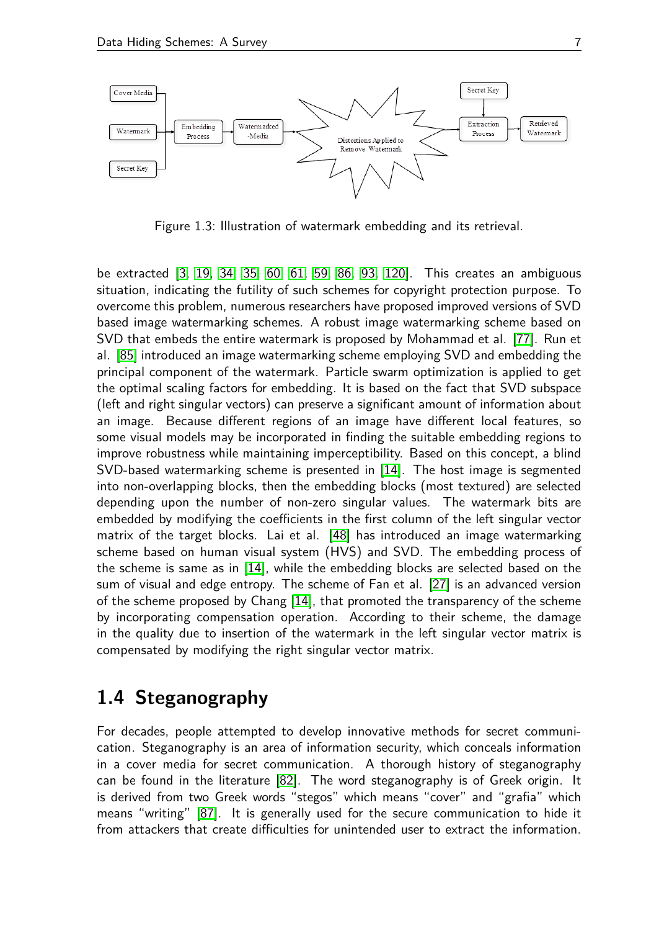

<span id="page-6-1"></span>Figure 1.3: Illustration of watermark embedding and its retrieval.

be extracted [\[3,](#page-11-11) [19,](#page-11-12) [34,](#page-12-2) [35,](#page-12-12) [60,](#page-14-10) [61,](#page-14-11) [59,](#page-14-12) [86,](#page-16-13) [93,](#page-16-14) [120\]](#page-18-2). This creates an ambiguous situation, indicating the futility of such schemes for copyright protection purpose. To overcome this problem, numerous researchers have proposed improved versions of SVD based image watermarking schemes. A robust image watermarking scheme based on SVD that embeds the entire watermark is proposed by Mohammad et al. [\[77\]](#page-15-12). Run et al. [\[85\]](#page-15-4) introduced an image watermarking scheme employing SVD and embedding the principal component of the watermark. Particle swarm optimization is applied to get the optimal scaling factors for embedding. It is based on the fact that SVD subspace (left and right singular vectors) can preserve a significant amount of information about an image. Because different regions of an image have different local features, so some visual models may be incorporated in finding the suitable embedding regions to improve robustness while maintaining imperceptibility. Based on this concept, a blind SVD-based watermarking scheme is presented in [\[14\]](#page-11-9). The host image is segmented into non-overlapping blocks, then the embedding blocks (most textured) are selected depending upon the number of non-zero singular values. The watermark bits are embedded by modifying the coefficients in the first column of the left singular vector matrix of the target blocks. Lai et al. [\[48\]](#page-13-15) has introduced an image watermarking scheme based on human visual system (HVS) and SVD. The embedding process of the scheme is same as in [\[14\]](#page-11-9), while the embedding blocks are selected based on the sum of visual and edge entropy. The scheme of Fan et al. [\[27\]](#page-12-10) is an advanced version of the scheme proposed by Chang [\[14\]](#page-11-9), that promoted the transparency of the scheme by incorporating compensation operation. According to their scheme, the damage in the quality due to insertion of the watermark in the left singular vector matrix is compensated by modifying the right singular vector matrix.

### <span id="page-6-0"></span>**1.4 Steganography**

For decades, people attempted to develop innovative methods for secret communication. Steganography is an area of information security, which conceals information in a cover media for secret communication. A thorough history of steganography can be found in the literature [\[82\]](#page-15-15). The word steganography is of Greek origin. It is derived from two Greek words "stegos" which means "cover" and "grafia" which means "writing" [\[87\]](#page-16-1). It is generally used for the secure communication to hide it from attackers that create difficulties for unintended user to extract the information.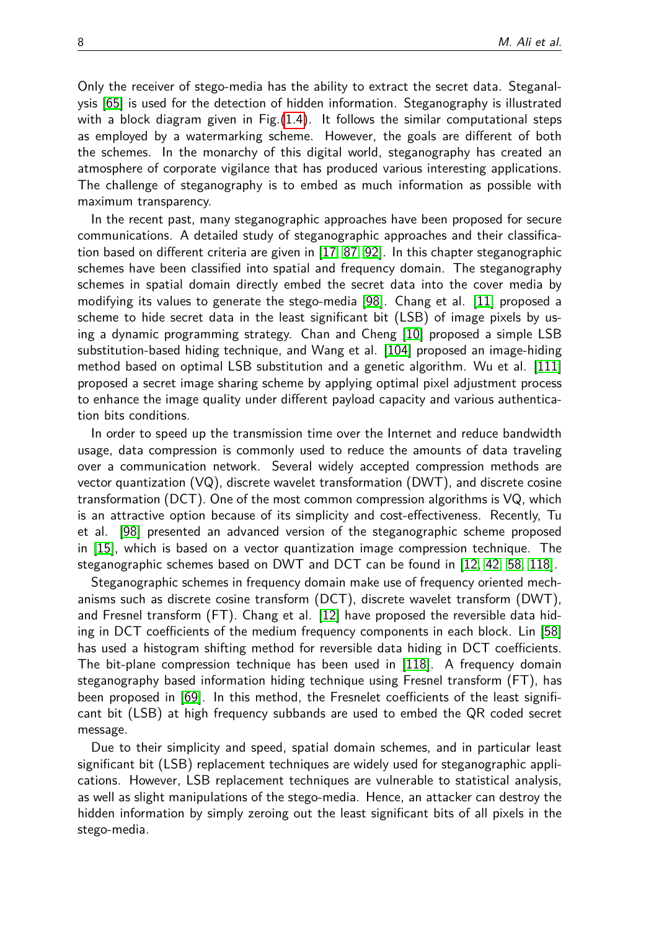Only the receiver of stego-media has the ability to extract the secret data. Steganalysis [\[65\]](#page-14-2) is used for the detection of hidden information. Steganography is illustrated with a block diagram given in Fig.[\(1.4\)](#page-8-1). It follows the similar computational steps as employed by a watermarking scheme. However, the goals are different of both the schemes. In the monarchy of this digital world, steganography has created an atmosphere of corporate vigilance that has produced various interesting applications. The challenge of steganography is to embed as much information as possible with maximum transparency.

In the recent past, many steganographic approaches have been proposed for secure communications. A detailed study of steganographic approaches and their classification based on different criteria are given in [\[17,](#page-11-0) [87,](#page-16-1) [92\]](#page-16-0). In this chapter steganographic schemes have been classified into spatial and frequency domain. The steganography schemes in spatial domain directly embed the secret data into the cover media by modifying its values to generate the stego-media [\[98\]](#page-16-6). Chang et al. [\[11\]](#page-11-13) proposed a scheme to hide secret data in the least significant bit (LSB) of image pixels by using a dynamic programming strategy. Chan and Cheng [\[10\]](#page-11-14) proposed a simple LSB substitution-based hiding technique, and Wang et al. [\[104\]](#page-17-11) proposed an image-hiding method based on optimal LSB substitution and a genetic algorithm. Wu et al. [\[111\]](#page-17-12) proposed a secret image sharing scheme by applying optimal pixel adjustment process to enhance the image quality under different payload capacity and various authentication bits conditions.

In order to speed up the transmission time over the Internet and reduce bandwidth usage, data compression is commonly used to reduce the amounts of data traveling over a communication network. Several widely accepted compression methods are vector quantization (VQ), discrete wavelet transformation (DWT), and discrete cosine transformation (DCT). One of the most common compression algorithms is VQ, which is an attractive option because of its simplicity and cost-effectiveness. Recently, Tu et al. [\[98\]](#page-16-6) presented an advanced version of the steganographic scheme proposed in [\[15\]](#page-11-15), which is based on a vector quantization image compression technique. The steganographic schemes based on DWT and DCT can be found in [\[12,](#page-11-16) [42,](#page-13-16) [58,](#page-14-13) [118\]](#page-17-13).

Steganographic schemes in frequency domain make use of frequency oriented mechanisms such as discrete cosine transform (DCT), discrete wavelet transform (DWT), and Fresnel transform (FT). Chang et al. [\[12\]](#page-11-16) have proposed the reversible data hiding in DCT coefficients of the medium frequency components in each block. Lin [\[58\]](#page-14-13) has used a histogram shifting method for reversible data hiding in DCT coefficients. The bit-plane compression technique has been used in [\[118\]](#page-17-13). A frequency domain steganography based information hiding technique using Fresnel transform (FT), has been proposed in [\[69\]](#page-14-14). In this method, the Fresnelet coefficients of the least significant bit (LSB) at high frequency subbands are used to embed the QR coded secret message.

Due to their simplicity and speed, spatial domain schemes, and in particular least significant bit (LSB) replacement techniques are widely used for steganographic applications. However, LSB replacement techniques are vulnerable to statistical analysis, as well as slight manipulations of the stego-media. Hence, an attacker can destroy the hidden information by simply zeroing out the least significant bits of all pixels in the stego-media.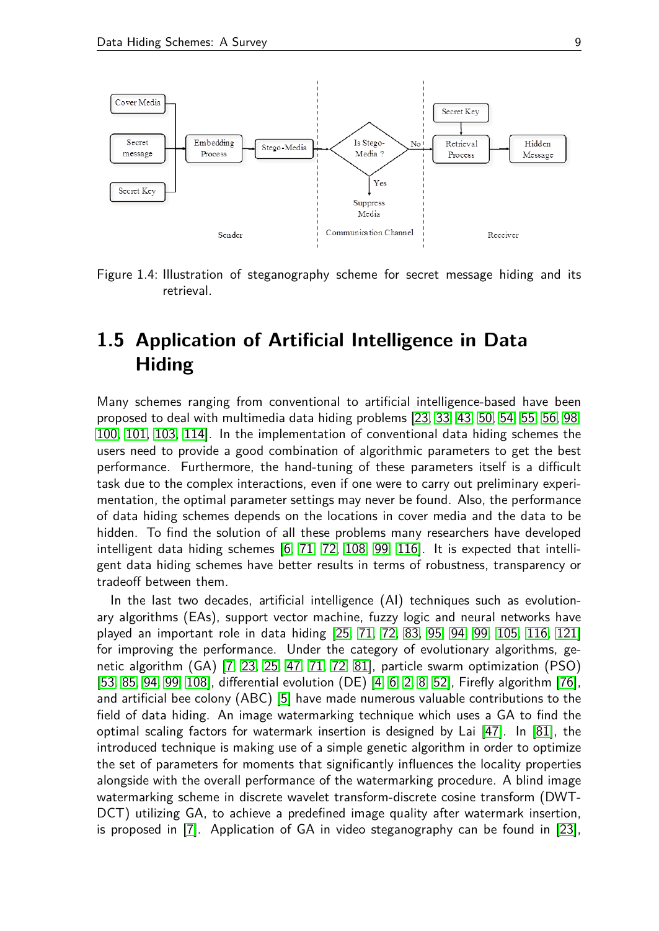

<span id="page-8-1"></span>Figure 1.4: Illustration of steganography scheme for secret message hiding and its retrieval.

## <span id="page-8-0"></span>**1.5 Application of Artificial Intelligence in Data Hiding**

Many schemes ranging from conventional to artificial intelligence-based have been proposed to deal with multimedia data hiding problems [\[23,](#page-12-13) [33,](#page-12-6) [43,](#page-13-0) [50,](#page-13-1) [54,](#page-14-15) [55,](#page-14-4) [56,](#page-14-0) [98,](#page-16-6) [100,](#page-16-4) [101,](#page-16-8) [103,](#page-17-14) [114\]](#page-17-8). In the implementation of conventional data hiding schemes the users need to provide a good combination of algorithmic parameters to get the best performance. Furthermore, the hand-tuning of these parameters itself is a difficult task due to the complex interactions, even if one were to carry out preliminary experimentation, the optimal parameter settings may never be found. Also, the performance of data hiding schemes depends on the locations in cover media and the data to be hidden. To find the solution of all these problems many researchers have developed intelligent data hiding schemes [\[6,](#page-11-6) [71,](#page-15-9) [72,](#page-15-1) [108,](#page-17-3) [99,](#page-16-15) [116\]](#page-17-15). It is expected that intelligent data hiding schemes have better results in terms of robustness, transparency or tradeoff between them.

In the last two decades, artificial intelligence (AI) techniques such as evolutionary algorithms (EAs), support vector machine, fuzzy logic and neural networks have played an important role in data hiding [\[25,](#page-12-14) [71,](#page-15-9) [72,](#page-15-1) [83,](#page-15-14) [95,](#page-16-10) [94,](#page-16-9) [99,](#page-16-15) [105,](#page-17-16) [116,](#page-17-15) [121\]](#page-18-1) for improving the performance. Under the category of evolutionary algorithms, genetic algorithm (GA) [\[7,](#page-11-7) [23,](#page-12-13) [25,](#page-12-14) [47,](#page-13-4) [71,](#page-15-9) [72,](#page-15-1) [81\]](#page-15-7), particle swarm optimization (PSO) [\[53,](#page-13-10) [85,](#page-15-4) [94,](#page-16-9) [99,](#page-16-15) [108\]](#page-17-3), differential evolution (DE) [\[4,](#page-11-5) [6,](#page-11-6) [2,](#page-10-1) [8,](#page-11-2) [52\]](#page-13-2), Firefly algorithm [\[76\]](#page-15-10), and artificial bee colony (ABC) [\[5\]](#page-11-1) have made numerous valuable contributions to the field of data hiding. An image watermarking technique which uses a GA to find the optimal scaling factors for watermark insertion is designed by Lai [\[47\]](#page-13-4). In [\[81\]](#page-15-7), the introduced technique is making use of a simple genetic algorithm in order to optimize the set of parameters for moments that significantly influences the locality properties alongside with the overall performance of the watermarking procedure. A blind image watermarking scheme in discrete wavelet transform-discrete cosine transform (DWT-DCT) utilizing GA, to achieve a predefined image quality after watermark insertion, is proposed in [\[7\]](#page-11-7). Application of GA in video steganography can be found in [\[23\]](#page-12-13),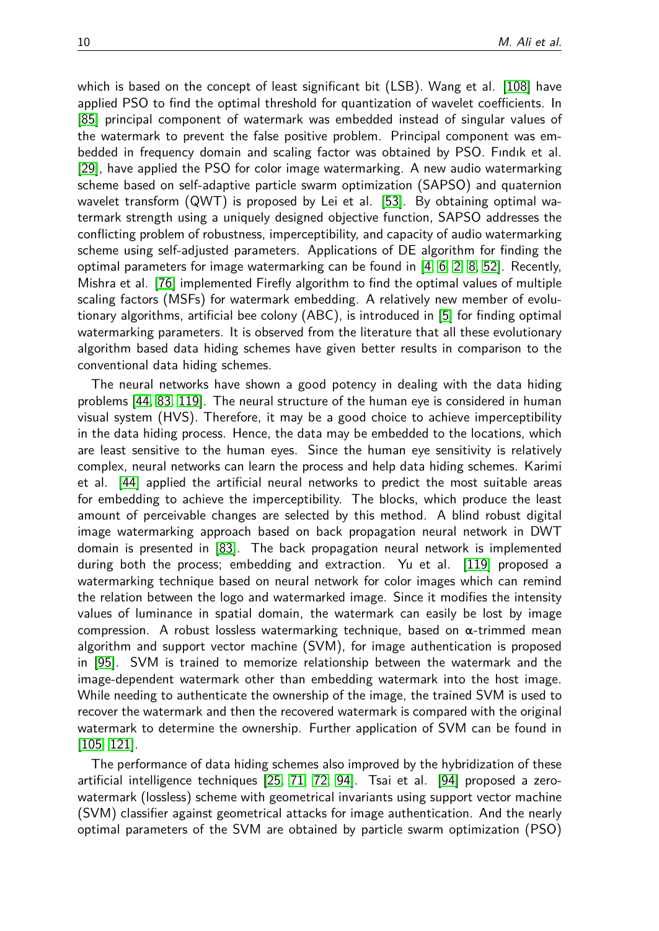which is based on the concept of least significant bit (LSB). Wang et al. [\[108\]](#page-17-3) have applied PSO to find the optimal threshold for quantization of wavelet coefficients. In [\[85\]](#page-15-4) principal component of watermark was embedded instead of singular values of the watermark to prevent the false positive problem. Principal component was embedded in frequency domain and scaling factor was obtained by PSO. Fındık et al. [\[29\]](#page-12-15), have applied the PSO for color image watermarking. A new audio watermarking scheme based on self-adaptive particle swarm optimization (SAPSO) and quaternion wavelet transform (QWT) is proposed by Lei et al. [\[53\]](#page-13-10). By obtaining optimal watermark strength using a uniquely designed objective function, SAPSO addresses the conflicting problem of robustness, imperceptibility, and capacity of audio watermarking scheme using self-adjusted parameters. Applications of DE algorithm for finding the optimal parameters for image watermarking can be found in [\[4,](#page-11-5) [6,](#page-11-6) [2,](#page-10-1) [8,](#page-11-2) [52\]](#page-13-2). Recently, Mishra et al. [\[76\]](#page-15-10) implemented Firefly algorithm to find the optimal values of multiple scaling factors (MSFs) for watermark embedding. A relatively new member of evolutionary algorithms, artificial bee colony (ABC), is introduced in [\[5\]](#page-11-1) for finding optimal watermarking parameters. It is observed from the literature that all these evolutionary algorithm based data hiding schemes have given better results in comparison to the conventional data hiding schemes.

The neural networks have shown a good potency in dealing with the data hiding problems [\[44,](#page-13-17) [83,](#page-15-14) [119\]](#page-18-3). The neural structure of the human eye is considered in human visual system (HVS). Therefore, it may be a good choice to achieve imperceptibility in the data hiding process. Hence, the data may be embedded to the locations, which are least sensitive to the human eyes. Since the human eye sensitivity is relatively complex, neural networks can learn the process and help data hiding schemes. Karimi et al. [\[44\]](#page-13-17) applied the artificial neural networks to predict the most suitable areas for embedding to achieve the imperceptibility. The blocks, which produce the least amount of perceivable changes are selected by this method. A blind robust digital image watermarking approach based on back propagation neural network in DWT domain is presented in [\[83\]](#page-15-14). The back propagation neural network is implemented during both the process; embedding and extraction. Yu et al. [\[119\]](#page-18-3) proposed a watermarking technique based on neural network for color images which can remind the relation between the logo and watermarked image. Since it modifies the intensity values of luminance in spatial domain, the watermark can easily be lost by image compression. A robust lossless watermarking technique, based on  $\alpha$ -trimmed mean algorithm and support vector machine (SVM), for image authentication is proposed in [\[95\]](#page-16-10). SVM is trained to memorize relationship between the watermark and the image-dependent watermark other than embedding watermark into the host image. While needing to authenticate the ownership of the image, the trained SVM is used to recover the watermark and then the recovered watermark is compared with the original watermark to determine the ownership. Further application of SVM can be found in [\[105,](#page-17-16) [121\]](#page-18-1).

The performance of data hiding schemes also improved by the hybridization of these artificial intelligence techniques [\[25,](#page-12-14) [71,](#page-15-9) [72,](#page-15-1) [94\]](#page-16-9). Tsai et al. [\[94\]](#page-16-9) proposed a zerowatermark (lossless) scheme with geometrical invariants using support vector machine (SVM) classifier against geometrical attacks for image authentication. And the nearly optimal parameters of the SVM are obtained by particle swarm optimization (PSO)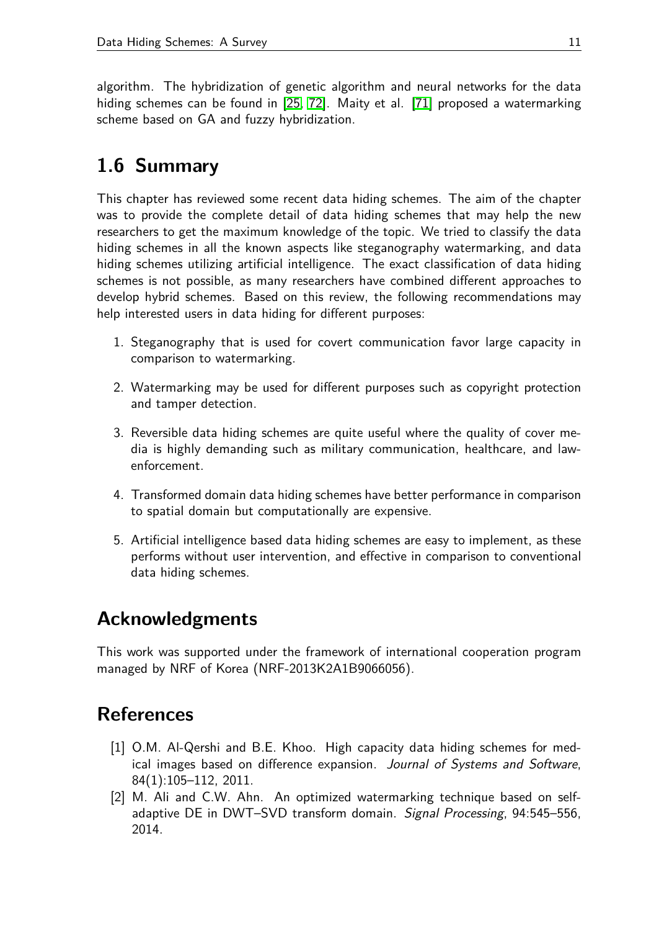algorithm. The hybridization of genetic algorithm and neural networks for the data hiding schemes can be found in [\[25,](#page-12-14) [72\]](#page-15-1). Maity et al. [\[71\]](#page-15-9) proposed a watermarking scheme based on GA and fuzzy hybridization.

# <span id="page-10-2"></span>**1.6 Summary**

This chapter has reviewed some recent data hiding schemes. The aim of the chapter was to provide the complete detail of data hiding schemes that may help the new researchers to get the maximum knowledge of the topic. We tried to classify the data hiding schemes in all the known aspects like steganography watermarking, and data hiding schemes utilizing artificial intelligence. The exact classification of data hiding schemes is not possible, as many researchers have combined different approaches to develop hybrid schemes. Based on this review, the following recommendations may help interested users in data hiding for different purposes:

- 1. Steganography that is used for covert communication favor large capacity in comparison to watermarking.
- 2. Watermarking may be used for different purposes such as copyright protection and tamper detection.
- 3. Reversible data hiding schemes are quite useful where the quality of cover media is highly demanding such as military communication, healthcare, and lawenforcement.
- 4. Transformed domain data hiding schemes have better performance in comparison to spatial domain but computationally are expensive.
- 5. Artificial intelligence based data hiding schemes are easy to implement, as these performs without user intervention, and effective in comparison to conventional data hiding schemes.

# **Acknowledgments**

This work was supported under the framework of international cooperation program managed by NRF of Korea (NRF-2013K2A1B9066056).

# **References**

- <span id="page-10-0"></span>[1] O.M. Al-Qershi and B.E. Khoo. High capacity data hiding schemes for medical images based on difference expansion. Journal of Systems and Software, 84(1):105–112, 2011.
- <span id="page-10-1"></span>[2] M. Ali and C.W. Ahn. An optimized watermarking technique based on selfadaptive DE in DWT–SVD transform domain. Signal Processing, 94:545–556, 2014.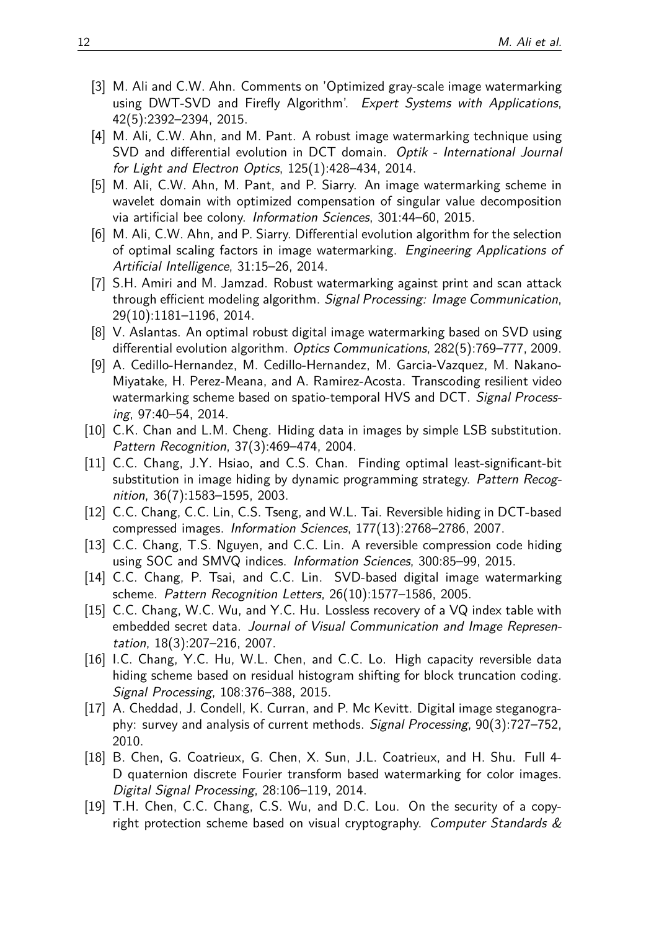- <span id="page-11-11"></span>[3] M. Ali and C.W. Ahn. Comments on 'Optimized gray-scale image watermarking using DWT-SVD and Firefly Algorithm'. Expert Systems with Applications, 42(5):2392–2394, 2015.
- <span id="page-11-5"></span>[4] M. Ali, C.W. Ahn, and M. Pant. A robust image watermarking technique using SVD and differential evolution in DCT domain. Optik - International Journal for Light and Electron Optics, 125(1):428–434, 2014.
- <span id="page-11-1"></span>[5] M. Ali, C.W. Ahn, M. Pant, and P. Siarry. An image watermarking scheme in wavelet domain with optimized compensation of singular value decomposition via artificial bee colony. Information Sciences, 301:44–60, 2015.
- <span id="page-11-6"></span>[6] M. Ali, C.W. Ahn, and P. Siarry. Differential evolution algorithm for the selection of optimal scaling factors in image watermarking. Engineering Applications of Artificial Intelligence, 31:15–26, 2014.
- <span id="page-11-7"></span>[7] S.H. Amiri and M. Jamzad. Robust watermarking against print and scan attack through efficient modeling algorithm. Signal Processing: Image Communication, 29(10):1181–1196, 2014.
- <span id="page-11-2"></span>[8] V. Aslantas. An optimal robust digital image watermarking based on SVD using differential evolution algorithm. Optics Communications, 282(5):769–777, 2009.
- <span id="page-11-8"></span>[9] A. Cedillo-Hernandez, M. Cedillo-Hernandez, M. Garcia-Vazquez, M. Nakano-Miyatake, H. Perez-Meana, and A. Ramirez-Acosta. Transcoding resilient video watermarking scheme based on spatio-temporal HVS and DCT. Signal Processing, 97:40–54, 2014.
- <span id="page-11-14"></span>[10] C.K. Chan and L.M. Cheng. Hiding data in images by simple LSB substitution. Pattern Recognition, 37(3):469–474, 2004.
- <span id="page-11-13"></span>[11] C.C. Chang, J.Y. Hsiao, and C.S. Chan. Finding optimal least-significant-bit substitution in image hiding by dynamic programming strategy. Pattern Recognition, 36(7):1583–1595, 2003.
- <span id="page-11-16"></span>[12] C.C. Chang, C.C. Lin, C.S. Tseng, and W.L. Tai. Reversible hiding in DCT-based compressed images. Information Sciences, 177(13):2768–2786, 2007.
- <span id="page-11-4"></span>[13] C.C. Chang, T.S. Nguyen, and C.C. Lin. A reversible compression code hiding using SOC and SMVQ indices. Information Sciences, 300:85–99, 2015.
- <span id="page-11-9"></span>[14] C.C. Chang, P. Tsai, and C.C. Lin. SVD-based digital image watermarking scheme. Pattern Recognition Letters, 26(10):1577–1586, 2005.
- <span id="page-11-15"></span>[15] C.C. Chang, W.C. Wu, and Y.C. Hu. Lossless recovery of a VQ index table with embedded secret data. Journal of Visual Communication and Image Representation, 18(3):207–216, 2007.
- <span id="page-11-3"></span>[16] I.C. Chang, Y.C. Hu, W.L. Chen, and C.C. Lo. High capacity reversible data hiding scheme based on residual histogram shifting for block truncation coding. Signal Processing, 108:376–388, 2015.
- <span id="page-11-0"></span>[17] A. Cheddad, J. Condell, K. Curran, and P. Mc Kevitt. Digital image steganography: survey and analysis of current methods. Signal Processing, 90(3):727–752, 2010.
- <span id="page-11-10"></span>[18] B. Chen, G. Coatrieux, G. Chen, X. Sun, J.L. Coatrieux, and H. Shu. Full 4- D quaternion discrete Fourier transform based watermarking for color images. Digital Signal Processing, 28:106–119, 2014.
- <span id="page-11-12"></span>[19] T.H. Chen, C.C. Chang, C.S. Wu, and D.C. Lou. On the security of a copyright protection scheme based on visual cryptography. Computer Standards  $\&$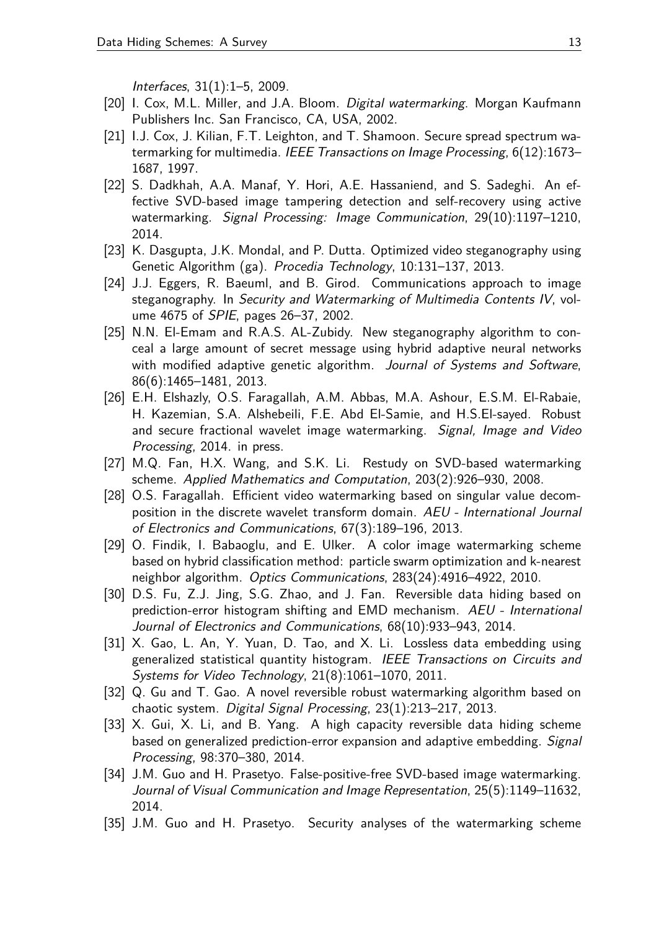Interfaces, 31(1):1–5, 2009.

- <span id="page-12-8"></span>[20] I. Cox, M.L. Miller, and J.A. Bloom. Digital watermarking. Morgan Kaufmann Publishers Inc. San Francisco, CA, USA, 2002.
- <span id="page-12-0"></span>[21] I.J. Cox, J. Kilian, F.T. Leighton, and T. Shamoon. Secure spread spectrum watermarking for multimedia. IEEE Transactions on Image Processing, 6(12):1673– 1687, 1997.
- <span id="page-12-9"></span>[22] S. Dadkhah, A.A. Manaf, Y. Hori, A.E. Hassaniend, and S. Sadeghi. An effective SVD-based image tampering detection and self-recovery using active watermarking. Signal Processing: Image Communication, 29(10):1197–1210, 2014.
- <span id="page-12-13"></span>[23] K. Dasgupta, J.K. Mondal, and P. Dutta. Optimized video steganography using Genetic Algorithm (ga). Procedia Technology, 10:131–137, 2013.
- <span id="page-12-7"></span>[24] J.J. Eggers, R. Baeuml, and B. Girod. Communications approach to image steganography. In Security and Watermarking of Multimedia Contents IV, volume 4675 of SPIE, pages 26–37, 2002.
- <span id="page-12-14"></span>[25] N.N. El-Emam and R.A.S. AL-Zubidy. New steganography algorithm to conceal a large amount of secret message using hybrid adaptive neural networks with modified adaptive genetic algorithm. Journal of Systems and Software, 86(6):1465–1481, 2013.
- <span id="page-12-3"></span>[26] E.H. Elshazly, O.S. Faragallah, A.M. Abbas, M.A. Ashour, E.S.M. El-Rabaie, H. Kazemian, S.A. Alshebeili, F.E. Abd El-Samie, and H.S.El-sayed. Robust and secure fractional wavelet image watermarking. Signal, Image and Video Processing, 2014. in press.
- <span id="page-12-10"></span>[27] M.Q. Fan, H.X. Wang, and S.K. Li. Restudy on SVD-based watermarking scheme. Applied Mathematics and Computation, 203(2):926–930, 2008.
- <span id="page-12-11"></span>[28] O.S. Faragallah. Efficient video watermarking based on singular value decomposition in the discrete wavelet transform domain. AEU - International Journal of Electronics and Communications, 67(3):189–196, 2013.
- <span id="page-12-15"></span>[29] O. Findik, I. Babaoglu, and E. Ulker. A color image watermarking scheme based on hybrid classification method: particle swarm optimization and k-nearest neighbor algorithm. Optics Communications, 283(24):4916–4922, 2010.
- <span id="page-12-5"></span>[30] D.S. Fu, Z.J. Jing, S.G. Zhao, and J. Fan. Reversible data hiding based on prediction-error histogram shifting and EMD mechanism. AEU - International Journal of Electronics and Communications, 68(10):933–943, 2014.
- <span id="page-12-1"></span>[31] X. Gao, L. An, Y. Yuan, D. Tao, and X. Li. Lossless data embedding using generalized statistical quantity histogram. IEEE Transactions on Circuits and Systems for Video Technology, 21(8):1061–1070, 2011.
- <span id="page-12-4"></span>[32] Q. Gu and T. Gao. A novel reversible robust watermarking algorithm based on chaotic system. Digital Signal Processing, 23(1):213–217, 2013.
- <span id="page-12-6"></span>[33] X. Gui, X. Li, and B. Yang. A high capacity reversible data hiding scheme based on generalized prediction-error expansion and adaptive embedding. Signal Processing, 98:370–380, 2014.
- <span id="page-12-2"></span>[34] J.M. Guo and H. Prasetyo. False-positive-free SVD-based image watermarking. Journal of Visual Communication and Image Representation, 25(5):1149–11632, 2014.
- <span id="page-12-12"></span>[35] J.M. Guo and H. Prasetyo. Security analyses of the watermarking scheme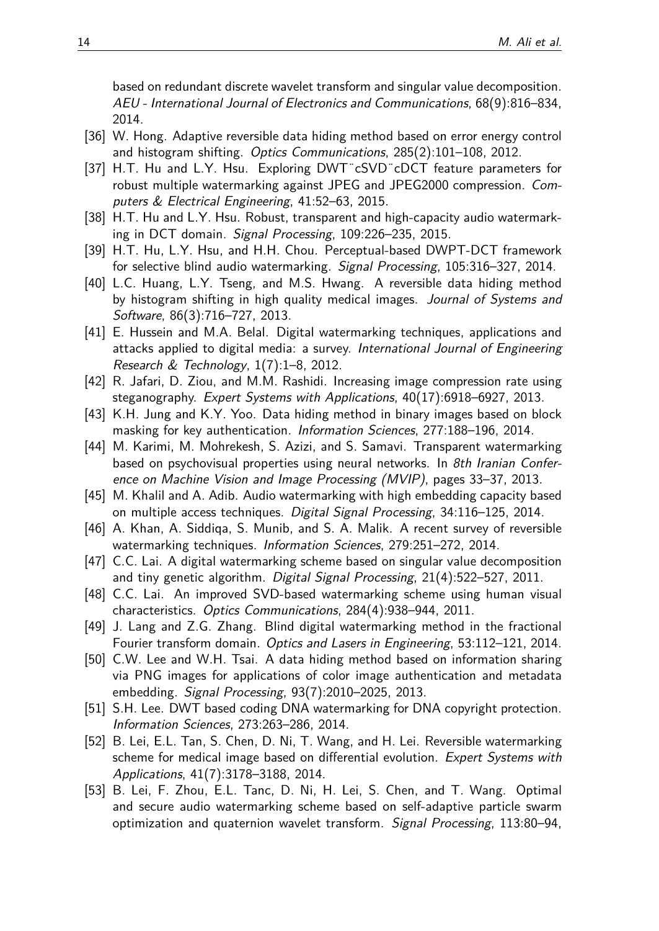based on redundant discrete wavelet transform and singular value decomposition. AEU - International Journal of Electronics and Communications, 68(9):816–834, 2014.

- <span id="page-13-6"></span>[36] W. Hong. Adaptive reversible data hiding method based on error energy control and histogram shifting. Optics Communications, 285(2):101–108, 2012.
- <span id="page-13-13"></span>[37] H.T. Hu and L.Y. Hsu. Exploring DWT¨cSVD¨cDCT feature parameters for robust multiple watermarking against JPEG and JPEG2000 compression. Computers & Electrical Engineering, 41:52–63, 2015.
- <span id="page-13-14"></span>[38] H.T. Hu and L.Y. Hsu. Robust, transparent and high-capacity audio watermarking in DCT domain. Signal Processing, 109:226–235, 2015.
- <span id="page-13-12"></span>[39] H.T. Hu, L.Y. Hsu, and H.H. Chou. Perceptual-based DWPT-DCT framework for selective blind audio watermarking. Signal Processing, 105:316–327, 2014.
- <span id="page-13-7"></span>[40] L.C. Huang, L.Y. Tseng, and M.S. Hwang. A reversible data hiding method by histogram shifting in high quality medical images. Journal of Systems and Software, 86(3):716–727, 2013.
- <span id="page-13-11"></span>[41] E. Hussein and M.A. Belal. Digital watermarking techniques, applications and attacks applied to digital media: a survey. International Journal of Engineering Research & Technology, 1(7):1–8, 2012.
- <span id="page-13-16"></span>[42] R. Jafari, D. Ziou, and M.M. Rashidi. Increasing image compression rate using steganography. Expert Systems with Applications, 40(17):6918–6927, 2013.
- <span id="page-13-0"></span>[43] K.H. Jung and K.Y. Yoo. Data hiding method in binary images based on block masking for key authentication. Information Sciences, 277:188–196, 2014.
- <span id="page-13-17"></span>[44] M. Karimi, M. Mohrekesh, S. Azizi, and S. Samavi. Transparent watermarking based on psychovisual properties using neural networks. In 8th Iranian Conference on Machine Vision and Image Processing (MVIP), pages 33–37, 2013.
- <span id="page-13-9"></span>[45] M. Khalil and A. Adib. Audio watermarking with high embedding capacity based on multiple access techniques. Digital Signal Processing, 34:116–125, 2014.
- <span id="page-13-8"></span>[46] A. Khan, A. Siddiqa, S. Munib, and S. A. Malik. A recent survey of reversible watermarking techniques. Information Sciences, 279:251–272, 2014.
- <span id="page-13-4"></span>[47] C.C. Lai. A digital watermarking scheme based on singular value decomposition and tiny genetic algorithm. Digital Signal Processing, 21(4):522–527, 2011.
- <span id="page-13-15"></span>[48] C.C. Lai. An improved SVD-based watermarking scheme using human visual characteristics. Optics Communications, 284(4):938–944, 2011.
- <span id="page-13-5"></span>[49] J. Lang and Z.G. Zhang. Blind digital watermarking method in the fractional Fourier transform domain. Optics and Lasers in Engineering, 53:112–121, 2014.
- <span id="page-13-1"></span>[50] C.W. Lee and W.H. Tsai. A data hiding method based on information sharing via PNG images for applications of color image authentication and metadata embedding. Signal Processing, 93(7):2010–2025, 2013.
- <span id="page-13-3"></span>[51] S.H. Lee. DWT based coding DNA watermarking for DNA copyright protection. Information Sciences, 273:263–286, 2014.
- <span id="page-13-2"></span>[52] B. Lei, E.L. Tan, S. Chen, D. Ni, T. Wang, and H. Lei. Reversible watermarking scheme for medical image based on differential evolution. Expert Systems with Applications, 41(7):3178–3188, 2014.
- <span id="page-13-10"></span>[53] B. Lei, F. Zhou, E.L. Tanc, D. Ni, H. Lei, S. Chen, and T. Wang. Optimal and secure audio watermarking scheme based on self-adaptive particle swarm optimization and quaternion wavelet transform. Signal Processing, 113:80–94,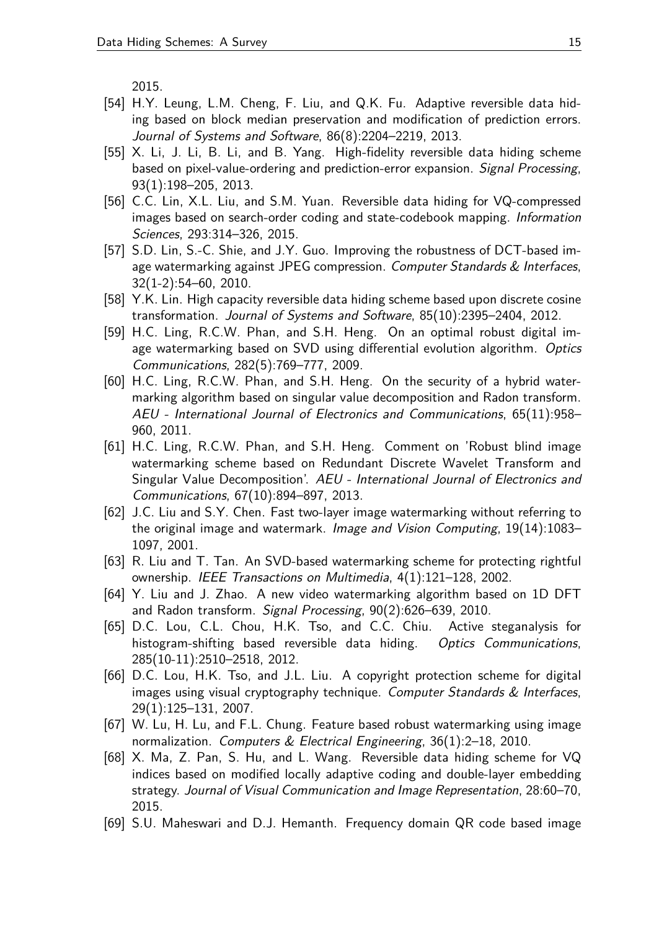2015.

- <span id="page-14-15"></span>[54] H.Y. Leung, L.M. Cheng, F. Liu, and Q.K. Fu. Adaptive reversible data hiding based on block median preservation and modification of prediction errors. Journal of Systems and Software, 86(8):2204–2219, 2013.
- <span id="page-14-4"></span>[55] X. Li, J. Li, B. Li, and B. Yang. High-fidelity reversible data hiding scheme based on pixel-value-ordering and prediction-error expansion. Signal Processing, 93(1):198–205, 2013.
- <span id="page-14-0"></span>[56] C.C. Lin, X.L. Liu, and S.M. Yuan. Reversible data hiding for VQ-compressed images based on search-order coding and state-codebook mapping. Information Sciences, 293:314–326, 2015.
- <span id="page-14-7"></span>[57] S.D. Lin, S.-C. Shie, and J.Y. Guo. Improving the robustness of DCT-based image watermarking against JPEG compression. Computer Standards & Interfaces, 32(1-2):54–60, 2010.
- <span id="page-14-13"></span>[58] Y.K. Lin. High capacity reversible data hiding scheme based upon discrete cosine transformation. Journal of Systems and Software, 85(10):2395–2404, 2012.
- <span id="page-14-12"></span>[59] H.C. Ling, R.C.W. Phan, and S.H. Heng. On an optimal robust digital image watermarking based on SVD using differential evolution algorithm. Optics Communications, 282(5):769–777, 2009.
- <span id="page-14-10"></span>[60] H.C. Ling, R.C.W. Phan, and S.H. Heng. On the security of a hybrid watermarking algorithm based on singular value decomposition and Radon transform. AEU - International Journal of Electronics and Communications, 65(11):958– 960, 2011.
- <span id="page-14-11"></span>[61] H.C. Ling, R.C.W. Phan, and S.H. Heng. Comment on 'Robust blind image watermarking scheme based on Redundant Discrete Wavelet Transform and Singular Value Decomposition'. AEU - International Journal of Electronics and Communications, 67(10):894–897, 2013.
- <span id="page-14-6"></span>[62] J.C. Liu and S.Y. Chen. Fast two-layer image watermarking without referring to the original image and watermark. Image and Vision Computing, 19(14):1083– 1097, 2001.
- <span id="page-14-5"></span>[63] R. Liu and T. Tan. An SVD-based watermarking scheme for protecting rightful ownership. IEEE Transactions on Multimedia, 4(1):121–128, 2002.
- <span id="page-14-8"></span>[64] Y. Liu and J. Zhao. A new video watermarking algorithm based on 1D DFT and Radon transform. Signal Processing, 90(2):626–639, 2010.
- <span id="page-14-2"></span>[65] D.C. Lou, C.L. Chou, H.K. Tso, and C.C. Chiu. Active steganalysis for histogram-shifting based reversible data hiding. Optics Communications, 285(10-11):2510–2518, 2012.
- <span id="page-14-1"></span>[66] D.C. Lou, H.K. Tso, and J.L. Liu. A copyright protection scheme for digital images using visual cryptography technique. Computer Standards  $&$  Interfaces, 29(1):125–131, 2007.
- <span id="page-14-9"></span>[67] W. Lu, H. Lu, and F.L. Chung. Feature based robust watermarking using image normalization. Computers & Electrical Engineering, 36(1):2–18, 2010.
- <span id="page-14-3"></span>[68] X. Ma, Z. Pan, S. Hu, and L. Wang. Reversible data hiding scheme for VQ indices based on modified locally adaptive coding and double-layer embedding strategy. Journal of Visual Communication and Image Representation, 28:60–70, 2015.
- <span id="page-14-14"></span>[69] S.U. Maheswari and D.J. Hemanth. Frequency domain QR code based image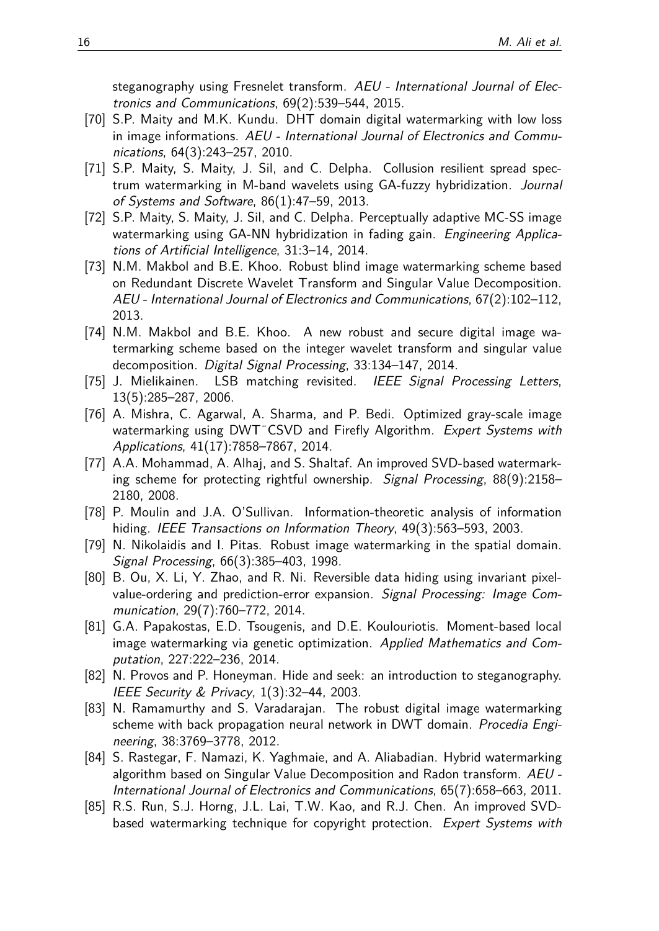steganography using Fresnelet transform. AEU - International Journal of Electronics and Communications, 69(2):539–544, 2015.

- <span id="page-15-0"></span>[70] S.P. Maity and M.K. Kundu. DHT domain digital watermarking with low loss in image informations. AEU - International Journal of Electronics and Communications, 64(3):243–257, 2010.
- <span id="page-15-9"></span>[71] S.P. Maity, S. Maity, J. Sil, and C. Delpha. Collusion resilient spread spectrum watermarking in M-band wavelets using GA-fuzzy hybridization. Journal of Systems and Software, 86(1):47–59, 2013.
- <span id="page-15-1"></span>[72] S.P. Maity, S. Maity, J. Sil, and C. Delpha. Perceptually adaptive MC-SS image watermarking using GA-NN hybridization in fading gain. Engineering Applications of Artificial Intelligence, 31:3–14, 2014.
- <span id="page-15-5"></span>[73] N.M. Makbol and B.E. Khoo. Robust blind image watermarking scheme based on Redundant Discrete Wavelet Transform and Singular Value Decomposition. AEU - International Journal of Electronics and Communications, 67(2):102–112, 2013.
- <span id="page-15-6"></span>[74] N.M. Makbol and B.E. Khoo. A new robust and secure digital image watermarking scheme based on the integer wavelet transform and singular value decomposition. Digital Signal Processing, 33:134–147, 2014.
- <span id="page-15-2"></span>[75] J. Mielikainen. LSB matching revisited. IEEE Signal Processing Letters, 13(5):285–287, 2006.
- <span id="page-15-10"></span>[76] A. Mishra, C. Agarwal, A. Sharma, and P. Bedi. Optimized gray-scale image watermarking using DWT CSVD and Firefly Algorithm. Expert Systems with Applications, 41(17):7858–7867, 2014.
- <span id="page-15-12"></span>[77] A.A. Mohammad, A. Alhaj, and S. Shaltaf. An improved SVD-based watermarking scheme for protecting rightful ownership. Signal Processing, 88(9):2158– 2180, 2008.
- <span id="page-15-3"></span>[78] P. Moulin and J.A. O'Sullivan. Information-theoretic analysis of information hiding. IEEE Transactions on Information Theory, 49(3):563–593, 2003.
- <span id="page-15-11"></span>[79] N. Nikolaidis and I. Pitas. Robust image watermarking in the spatial domain. Signal Processing, 66(3):385–403, 1998.
- <span id="page-15-8"></span>[80] B. Ou, X. Li, Y. Zhao, and R. Ni. Reversible data hiding using invariant pixelvalue-ordering and prediction-error expansion. Signal Processing: Image Communication, 29(7):760–772, 2014.
- <span id="page-15-7"></span>[81] G.A. Papakostas, E.D. Tsougenis, and D.E. Koulouriotis. Moment-based local image watermarking via genetic optimization. Applied Mathematics and Computation, 227:222–236, 2014.
- <span id="page-15-15"></span>[82] N. Provos and P. Honeyman. Hide and seek: an introduction to steganography. IEEE Security & Privacy, 1(3):32–44, 2003.
- <span id="page-15-14"></span>[83] N. Ramamurthy and S. Varadarajan. The robust digital image watermarking scheme with back propagation neural network in DWT domain. Procedia Engineering, 38:3769–3778, 2012.
- <span id="page-15-13"></span>[84] S. Rastegar, F. Namazi, K. Yaghmaie, and A. Aliabadian. Hybrid watermarking algorithm based on Singular Value Decomposition and Radon transform. AEU - International Journal of Electronics and Communications, 65(7):658–663, 2011.
- <span id="page-15-4"></span>[85] R.S. Run, S.J. Horng, J.L. Lai, T.W. Kao, and R.J. Chen. An improved SVDbased watermarking technique for copyright protection. Expert Systems with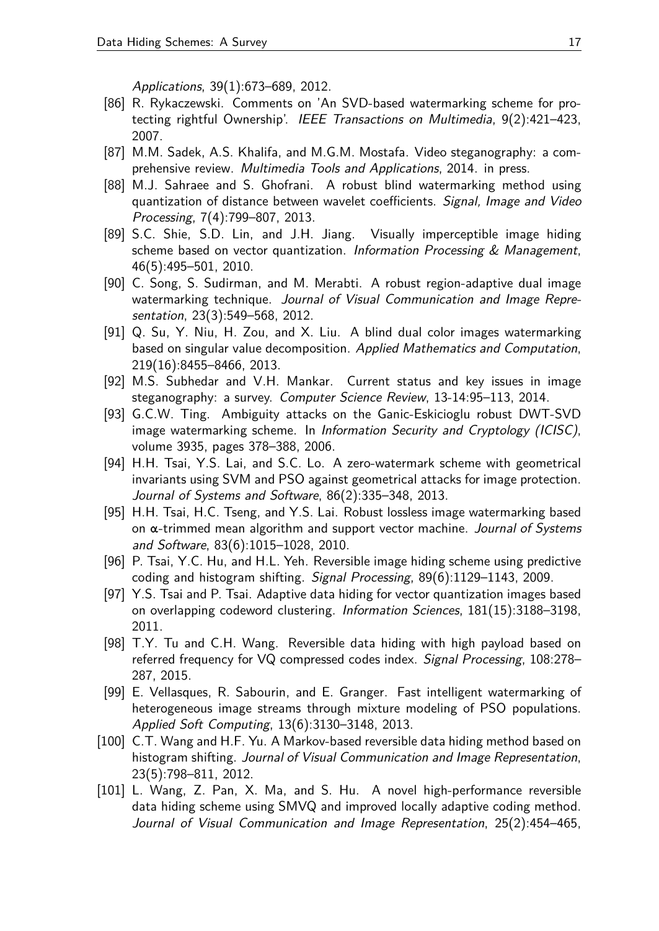Applications, 39(1):673–689, 2012.

- <span id="page-16-13"></span>[86] R. Rykaczewski. Comments on 'An SVD-based watermarking scheme for protecting rightful Ownership'. IEEE Transactions on Multimedia, 9(2):421–423, 2007.
- <span id="page-16-1"></span>[87] M.M. Sadek, A.S. Khalifa, and M.G.M. Mostafa. Video steganography: a comprehensive review. Multimedia Tools and Applications, 2014. in press.
- <span id="page-16-2"></span>[88] M.J. Sahraee and S. Ghofrani. A robust blind watermarking method using quantization of distance between wavelet coefficients. Signal, Image and Video Processing, 7(4):799–807, 2013.
- <span id="page-16-5"></span>[89] S.C. Shie, S.D. Lin, and J.H. Jiang. Visually imperceptible image hiding scheme based on vector quantization. Information Processing  $\&$  Management, 46(5):495–501, 2010.
- <span id="page-16-11"></span>[90] C. Song, S. Sudirman, and M. Merabti. A robust region-adaptive dual image watermarking technique. Journal of Visual Communication and Image Representation, 23(3):549–568, 2012.
- <span id="page-16-12"></span>[91] Q. Su, Y. Niu, H. Zou, and X. Liu. A blind dual color images watermarking based on singular value decomposition. Applied Mathematics and Computation, 219(16):8455–8466, 2013.
- <span id="page-16-0"></span>[92] M.S. Subhedar and V.H. Mankar. Current status and key issues in image steganography: a survey. Computer Science Review, 13-14:95–113, 2014.
- <span id="page-16-14"></span>[93] G.C.W. Ting. Ambiguity attacks on the Ganic-Eskicioglu robust DWT-SVD image watermarking scheme. In Information Security and Cryptology (ICISC), volume 3935, pages 378–388, 2006.
- <span id="page-16-9"></span>[94] H.H. Tsai, Y.S. Lai, and S.C. Lo. A zero-watermark scheme with geometrical invariants using SVM and PSO against geometrical attacks for image protection. Journal of Systems and Software, 86(2):335–348, 2013.
- <span id="page-16-10"></span>[95] H.H. Tsai, H.C. Tseng, and Y.S. Lai. Robust lossless image watermarking based on  $\alpha$ -trimmed mean algorithm and support vector machine. Journal of Systems and Software, 83(6):1015–1028, 2010.
- <span id="page-16-3"></span>[96] P. Tsai, Y.C. Hu, and H.L. Yeh. Reversible image hiding scheme using predictive coding and histogram shifting. Signal Processing, 89(6):1129–1143, 2009.
- <span id="page-16-7"></span>[97] Y.S. Tsai and P. Tsai. Adaptive data hiding for vector quantization images based on overlapping codeword clustering. Information Sciences, 181(15):3188–3198, 2011.
- <span id="page-16-6"></span>[98] T.Y. Tu and C.H. Wang. Reversible data hiding with high payload based on referred frequency for VQ compressed codes index. Signal Processing, 108:278– 287, 2015.
- <span id="page-16-15"></span>[99] E. Vellasques, R. Sabourin, and E. Granger. Fast intelligent watermarking of heterogeneous image streams through mixture modeling of PSO populations. Applied Soft Computing, 13(6):3130–3148, 2013.
- <span id="page-16-4"></span>[100] C.T. Wang and H.F. Yu. A Markov-based reversible data hiding method based on histogram shifting. Journal of Visual Communication and Image Representation, 23(5):798–811, 2012.
- <span id="page-16-8"></span>[101] L. Wang, Z. Pan, X. Ma, and S. Hu. A novel high-performance reversible data hiding scheme using SMVQ and improved locally adaptive coding method. Journal of Visual Communication and Image Representation, 25(2):454–465,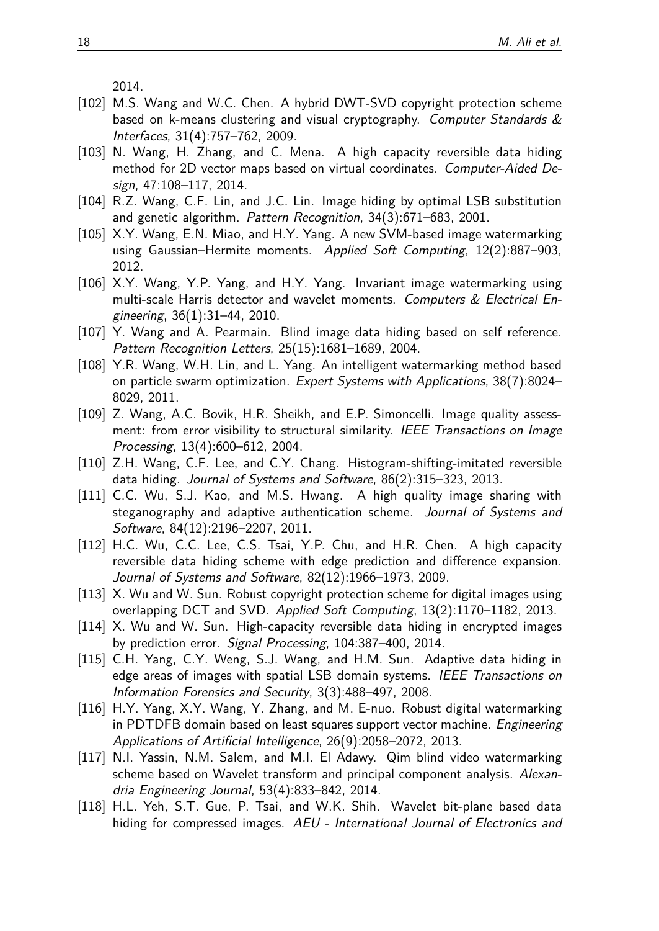2014.

- <span id="page-17-2"></span>[102] M.S. Wang and W.C. Chen. A hybrid DWT-SVD copyright protection scheme based on k-means clustering and visual cryptography. Computer Standards & Interfaces, 31(4):757–762, 2009.
- <span id="page-17-14"></span>[103] N. Wang, H. Zhang, and C. Mena. A high capacity reversible data hiding method for 2D vector maps based on virtual coordinates. Computer-Aided Design, 47:108–117, 2014.
- <span id="page-17-11"></span>[104] R.Z. Wang, C.F. Lin, and J.C. Lin. Image hiding by optimal LSB substitution and genetic algorithm. Pattern Recognition, 34(3):671–683, 2001.
- <span id="page-17-16"></span>[105] X.Y. Wang, E.N. Miao, and H.Y. Yang. A new SVM-based image watermarking using Gaussian–Hermite moments. Applied Soft Computing, 12(2):887–903, 2012.
- <span id="page-17-5"></span>[106] X.Y. Wang, Y.P. Yang, and H.Y. Yang. Invariant image watermarking using multi-scale Harris detector and wavelet moments. Computers & Electrical Engineering, 36(1):31–44, 2010.
- <span id="page-17-0"></span>[107] Y. Wang and A. Pearmain. Blind image data hiding based on self reference. Pattern Recognition Letters, 25(15):1681–1689, 2004.
- <span id="page-17-3"></span>[108] Y.R. Wang, W.H. Lin, and L. Yang. An intelligent watermarking method based on particle swarm optimization. Expert Systems with Applications, 38(7):8024– 8029, 2011.
- <span id="page-17-9"></span>[109] Z. Wang, A.C. Bovik, H.R. Sheikh, and E.P. Simoncelli. Image quality assessment: from error visibility to structural similarity. IEEE Transactions on Image Processing, 13(4):600–612, 2004.
- <span id="page-17-7"></span>[110] Z.H. Wang, C.F. Lee, and C.Y. Chang. Histogram-shifting-imitated reversible data hiding. Journal of Systems and Software, 86(2):315–323, 2013.
- <span id="page-17-12"></span>[111] C.C. Wu, S.J. Kao, and M.S. Hwang. A high quality image sharing with steganography and adaptive authentication scheme. Journal of Systems and Software, 84(12):2196–2207, 2011.
- <span id="page-17-6"></span>[112] H.C. Wu, C.C. Lee, C.S. Tsai, Y.P. Chu, and H.R. Chen. A high capacity reversible data hiding scheme with edge prediction and difference expansion. Journal of Systems and Software, 82(12):1966–1973, 2009.
- <span id="page-17-4"></span>[113] X. Wu and W. Sun. Robust copyright protection scheme for digital images using overlapping DCT and SVD. Applied Soft Computing, 13(2):1170–1182, 2013.
- <span id="page-17-8"></span>[114] X. Wu and W. Sun. High-capacity reversible data hiding in encrypted images by prediction error. Signal Processing, 104:387–400, 2014.
- <span id="page-17-1"></span>[115] C.H. Yang, C.Y. Weng, S.J. Wang, and H.M. Sun. Adaptive data hiding in edge areas of images with spatial LSB domain systems. IEEE Transactions on Information Forensics and Security, 3(3):488–497, 2008.
- <span id="page-17-15"></span>[116] H.Y. Yang, X.Y. Wang, Y. Zhang, and M. E-nuo. Robust digital watermarking in PDTDFB domain based on least squares support vector machine. *Engineering* Applications of Artificial Intelligence, 26(9):2058–2072, 2013.
- <span id="page-17-10"></span>[117] N.I. Yassin, N.M. Salem, and M.I. El Adawy. Qim blind video watermarking scheme based on Wavelet transform and principal component analysis. Alexandria Engineering Journal, 53(4):833–842, 2014.
- <span id="page-17-13"></span>[118] H.L. Yeh, S.T. Gue, P. Tsai, and W.K. Shih. Wavelet bit-plane based data hiding for compressed images. AEU - International Journal of Electronics and